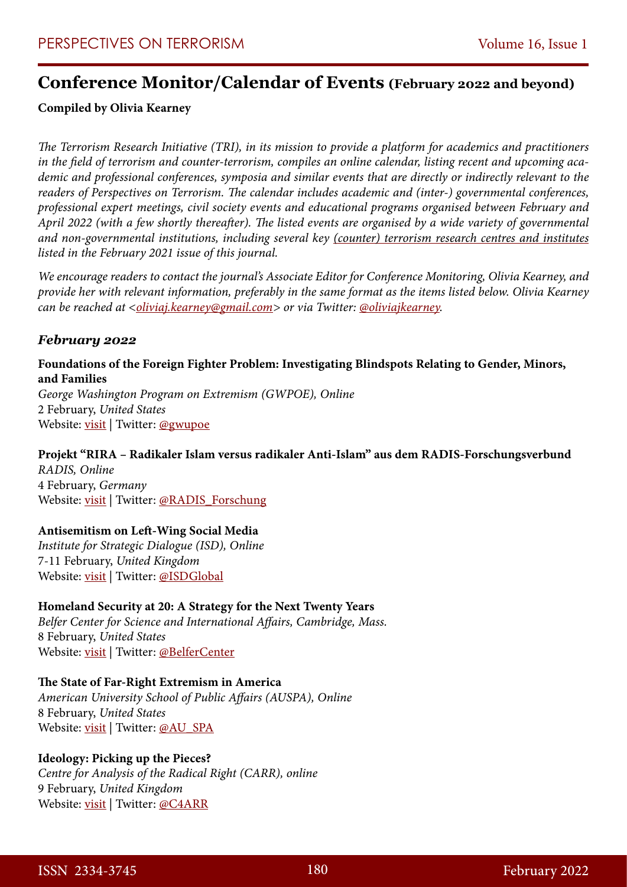# **Conference Monitor/Calendar of Events (February 2022 and beyond)**

### **Compiled by Olivia Kearney**

*The Terrorism Research Initiative (TRI), in its mission to provide a platform for academics and practitioners in the field of terrorism and counter-terrorism, compiles an online calendar, listing recent and upcoming academic and professional conferences, symposia and similar events that are directly or indirectly relevant to the readers of Perspectives on Terrorism. The calendar includes academic and (inter-) governmental conferences, professional expert meetings, civil society events and educational programs organised between February and April 2022 (with a few shortly thereafter). The listed events are organised by a wide variety of governmental and non-governmental institutions, including several key [\(counter\) terrorism research centres and institutes](https://www.universiteitleiden.nl/binaries/content/assets/customsites/perspectives-on-terrorism/2021/issue-1/bergema-and-kearney.pdf) listed in the February 2021 issue of this journal.*

*We encourage readers to contact the journal's Associate Editor for Conference Monitoring, Olivia Kearney, and provide her with relevant information, preferably in the same format as the items listed below. Olivia Kearney can be reached at [<oliviaj.kearney@gmail.com](mailto:oliviaj.kearney@gmail.com)> or via Twitter: [@oliviajkearney.](https://twitter.com/OliviaJKearney)*

### *February 2022*

### **Foundations of the Foreign Fighter Problem: Investigating Blindspots Relating to Gender, Minors, and Families**

*George Washington Program on Extremism (GWPOE), Online* 2 February, *United States* Website: <u>visit</u> | Twitter: [@gwupoe](https://twitter.com/gwupoe)

## **Projekt "RIRA – Radikaler Islam versus radikaler Anti-Islam" aus dem RADIS-Forschungsverbund**

*RADIS, Online*  4 February, *Germany* Website: [visit](https://www.radis-forschung.de/details/vortrag-radikaler-islam-versus-radikaler-anti-islam-gesellschaftliche-polarisierung-und-wahrgenommene-bedrohungen-als-triebfaktoren-von-radikalisierungs-und-co-radikalisierungsprozessen-bei-jugendlichen-und-post-adoleszenten) | Twitter: [@RADIS\\_Forschung](https://twitter.com/RADIS_Forschung)

### **Antisemitism on Left-Wing Social Media**

*Institute for Strategic Dialogue (ISD), Online*  7-11 February, *United Kingdom* Website: [visit](https://www.isdglobal.org/isd-events/antisemitism-on-left-wing-social-media/) | Twitter: [@ISDGlobal](https://twitter.com/ISDGlobal)

### **Homeland Security at 20: A Strategy for the Next Twenty Years**

*Belfer Center for Science and International Affairs, Cambridge, Mass.*  8 February, *United States* Website: [visit](https://www.belfercenter.org/event/homeland-security-20-strategy-next-twenty-years) | Twitter: [@BelferCenter](https://twitter.com/BelferCenter)

#### **The State of Far-Right Extremism in America**

*American University School of Public Affairs (AUSPA), Online*  8 February, *United States* Website: <u>visit</u> | Twitter: [@AU\\_SPA](https://twitter.com/AU_SPA)

### **Ideology: Picking up the Pieces?**

*Centre for Analysis of the Radical Right (CARR), online*  9 February, *United Kingdom* Website: [visit](https://www.radicalrightanalysis.com/2022/02/04/online-webinar-the-future-of-ideologies/) | Twitter: [@C4ARR](https://twitter.com/C4ARR)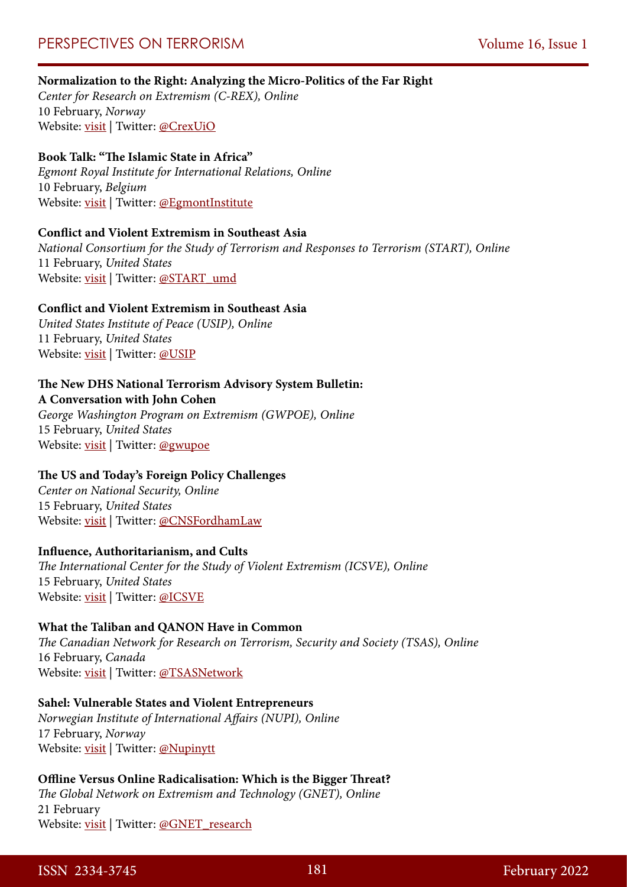### **Normalization to the Right: Analyzing the Micro-Politics of the Far Right**

*Center for Research on Extremism (C-REX), Online* 10 February, *Norway* Website: [visit](https://www.sv.uio.no/c-rex/english/news-and-events/events/) | Twitter: [@CrexUiO](https://twitter.com/CrexUiO)

### **Book Talk: "The Islamic State in Africa"**

*Egmont Royal Institute for International Relations, Online* 10 February, *Belgium* Website: [visit](https://www.egmontinstitute.be/events/book-talk-the-islamic-state-in-africa/) | Twitter: [@EgmontInstitute](https://twitter.com/Egmontinstitute)

#### **Conflict and Violent Extremism in Southeast Asia**

*National Consortium for the Study of Terrorism and Responses to Terrorism (START), Online* 11 February, *United States* Website: [visit](https://www.start.umd.edu/events/conflict-and-violent-extremism-southeast-asia) | Twitter: [@START\\_umd](https://twitter.com/START_umd)

#### **Conflict and Violent Extremism in Southeast Asia**

*United States Institute of Peace (USIP), Online* 11 February, *United States* Website: [visit](https://www.usip.org/events/conflict-and-violent-extremism-southeast-asia) | Twitter: [@USIP](https://twitter.com/USIP)

### **The New DHS National Terrorism Advisory System Bulletin:**

**A Conversation with John Cohen**

*George Washington Program on Extremism (GWPOE), Online* 15 February, *United States* Website: [visit](https://t.e2ma.net/click/lsm67d/xd71qefb/1c5axm) | Twitter: [@gwupoe](https://twitter.com/gwupoe)

#### **The US and Today's Foreign Policy Challenges**

*Center on National Security, Online* 15 February, *United States* Website: [visit](https://www.centeronnationalsecurity.org/the-us-and-todays-foreign-policy-challenges) | Twitter: [@CNSFordhamLaw](https://twitter.com/CNSFordhamLaw)

#### **Influence, Authoritarianism, and Cults**

*The International Center for the Study of Violent Extremism (ICSVE), Online* 15 February, *United States* Website: [visit](https://www.eventbrite.com/e/influence-authoritarianism-and-cults-tickets-261808264567) | Twitter: [@ICSVE](https://twitter.com/icsve)

#### **What the Taliban and QANON Have in Common**

*The Canadian Network for Research on Terrorism, Security and Society (TSAS), Online* 16 February, *Canada* Website: [visit](https://www.tsas.ca/tsas-event/what-the-taliban-and-qanon-have-in-common-m-juergensmeyer/) | Twitter: [@TSASNetwork](https://twitter.com/TSASNetwork)

### **Sahel: Vulnerable States and Violent Entrepreneurs**

*Norwegian Institute of International Affairs (NUPI), Online* 17 February, *Norway* Website: [visit](https://www.nupi.no/Arrangementer/2022/Sahel-saarbare-stater-og-voldelige-entreprenoerer) | Twitter: [@Nupinytt](https://twitter.com/nupinytt)

### **Offline Versus Online Radicalisation: Which is the Bigger Threat?**

*The Global Network on Extremism and Technology (GNET), Online* 21 February Website: [visit](https://us02web.zoom.us/webinar/register/WN_3NOKg0f2RZyVzwurNzokqg) | Twitter: [@GNET\\_research](https://twitter.com/GNET_research)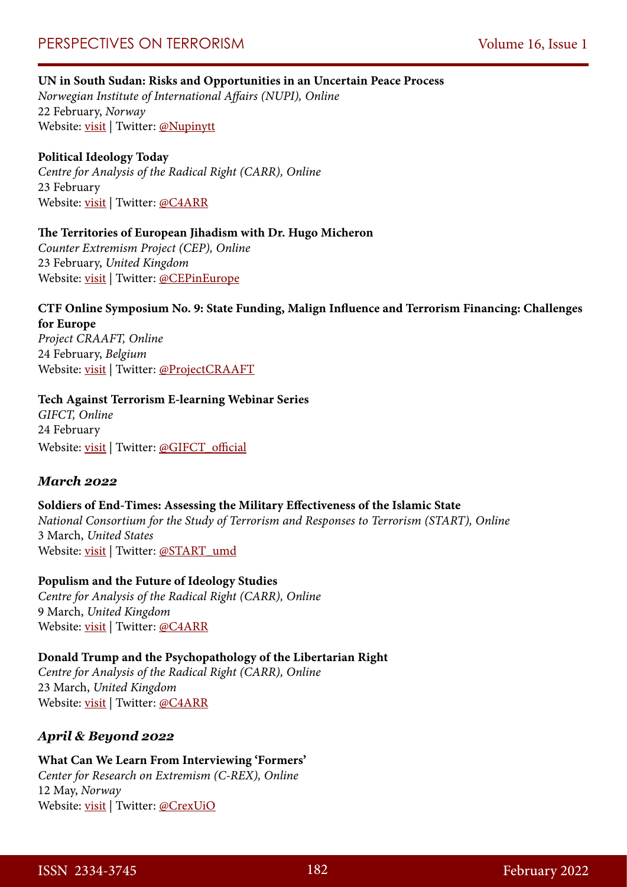### **UN in South Sudan: Risks and Opportunities in an Uncertain Peace Process**

*Norwegian Institute of International Affairs (NUPI), Online* 22 February, *Norway* Website: [visit](https://www.nupi.no/Arrangementer/2022/FN-i-Soer-Sudan-risiko-og-muligheter-i-en-usikker-fredsprosess) | Twitter: [@Nupinytt](https://twitter.com/nupinytt)

### **Political Ideology Today**

*Centre for Analysis of the Radical Right (CARR), Online*  23 February Website: [visit](https://www.radicalrightanalysis.com/category/upcoming/) | Twitter: [@C4ARR](https://twitter.com/C4ARR)

### **The Territories of European Jihadism with Dr. Hugo Micheron**

*Counter Extremism Project (CEP), Online* 23 February, *United Kingdom* Website: [visit](https://us02web.zoom.us/webinar/register/WN_ASe0DC_tSui3O-s0AH8b-A) | Twitter: [@CEPinEurope](https://twitter.com/CEPinEurope)

## **CTF Online Symposium No. 9: State Funding, Malign Influence and Terrorism Financing: Challenges for Europe**

*Project CRAAFT, Online* 24 February, *Belgium* Website: <u>visit</u> | Twitter: [@ProjectCRAAFT](https://twitter.com/projectcraaft)

### **Tech Against Terrorism E-learning Webinar Series**

*GIFCT, Online* 24 February Website: [visit](https://gifct.org/events/) | Twitter: [@GIFCT\\_official](https://twitter.com/GIFCT_official)

### *March 2022*

### **Soldiers of End-Times: Assessing the Military Effectiveness of the Islamic State**

*National Consortium for the Study of Terrorism and Responses to Terrorism (START), Online* 3 March, *United States* Website: [visit](https://www.start.umd.edu/events/soldiers-end-times-assessing-military-effectiveness-islamic-state) | Twitter: [@START\\_umd](https://twitter.com/START_umd)

### **Populism and the Future of Ideology Studies**

*Centre for Analysis of the Radical Right (CARR), Online*  9 March, *United Kingdom* Website: [visit](https://www.radicalrightanalysis.com/category/upcoming/) | Twitter: [@C4ARR](https://twitter.com/C4ARR)

### **Donald Trump and the Psychopathology of the Libertarian Right**

*Centre for Analysis of the Radical Right (CARR), Online*  23 March, *United Kingdom* Website: [visit](https://www.radicalrightanalysis.com/category/upcoming/) | Twitter: [@C4ARR](https://twitter.com/C4ARR)

### *April & Beyond 2022*

### **What Can We Learn From Interviewing 'Formers'** *Center for Research on Extremism (C-REX), Online* 12 May, *Norway* Website: [visit](https://www.sv.uio.no/c-rex/english/news-and-events/events/2021/webinar-methods-ethics/may12-what-can-we-learn-from-interviewing-%E2%80%98formers.html) | Twitter: [@CrexUiO](https://twitter.com/CrexUiO)

ISSN 2334-3745 182 February 2022